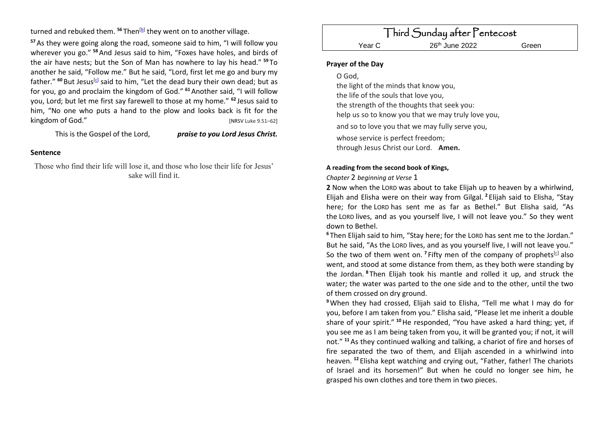turned and rebuked them. <sup>56</sup> Then<sup>[<u>b</u>]</sup> they went on to another village.

**<sup>57</sup>**As they were going along the road, someone said to him, "I will follow you wherever you go." **<sup>58</sup>**And Jesus said to him, "Foxes have holes, and birds of the air have nests; but the Son of Man has nowhere to lay his head." **<sup>59</sup>** To another he said, "Follow me." But he said, "Lord, first let me go and bury my father." <sup>60</sup> But Jesus<sup>[\[c\]](https://www.biblegateway.com/passage/?search=Luke+9.51%E2%80%9362&version=NRSV#fen-NRSV-25354c)</sup> said to him, "Let the dead bury their own dead; but as for you, go and proclaim the kingdom of God." **<sup>61</sup>**Another said, "I will follow you, Lord; but let me first say farewell to those at my home." **<sup>62</sup>** Jesus said to him, "No one who puts a hand to the plow and looks back is fit for the kingdom of God." [NRSV Luke 9.51–62]

### This is the Gospel of the Lord, *praise to you Lord Jesus Christ.*

### **Sentence**

Those who find their life will lose it, and those who lose their life for Jesus' sake will find it.

# Third Sunday after Pentecost Year C 26<sup>th</sup> June 2022 Green

## **Prayer of the Day**

O God,

the light of the minds that know you, the life of the souls that love you, the strength of the thoughts that seek you: help us so to know you that we may truly love you, and so to love you that we may fully serve you, whose service is perfect freedom; through Jesus Christ our Lord. **Amen.**

### **A reading from the second book of Kings,**

*Chapter* 2 *beginning at Verse* 1

**2** Now when the LORD was about to take Elijah up to heaven by a whirlwind, Elijah and Elisha were on their way from Gilgal. **<sup>2</sup>** Elijah said to Elisha, "Stay here; for the LORD has sent me as far as Bethel." But Elisha said, "As the LORD lives, and as you yourself live, I will not leave you." So they went down to Bethel.

**<sup>6</sup>** Then Elijah said to him, "Stay here; for the LORD has sent me to the Jordan." But he said, "As the LORD lives, and as you yourself live, I will not leave you." So the two of them went on. <sup>7</sup> Fifty men of the company of prophets<sup>[\[c\]](https://www.biblegateway.com/passage/?search=2+Kings+2.1-14+&version=NRSV#fen-NRSV-9559c)</sup> also went, and stood at some distance from them, as they both were standing by the Jordan. **<sup>8</sup>** Then Elijah took his mantle and rolled it up, and struck the water; the water was parted to the one side and to the other, until the two of them crossed on dry ground.

**<sup>9</sup>**When they had crossed, Elijah said to Elisha, "Tell me what I may do for you, before I am taken from you." Elisha said, "Please let me inherit a double share of your spirit." **<sup>10</sup>**He responded, "You have asked a hard thing; yet, if you see me as I am being taken from you, it will be granted you; if not, it will not." **<sup>11</sup>**As they continued walking and talking, a chariot of fire and horses of fire separated the two of them, and Elijah ascended in a whirlwind into heaven. **<sup>12</sup>** Elisha kept watching and crying out, "Father, father! The chariots of Israel and its horsemen!" But when he could no longer see him, he grasped his own clothes and tore them in two pieces.